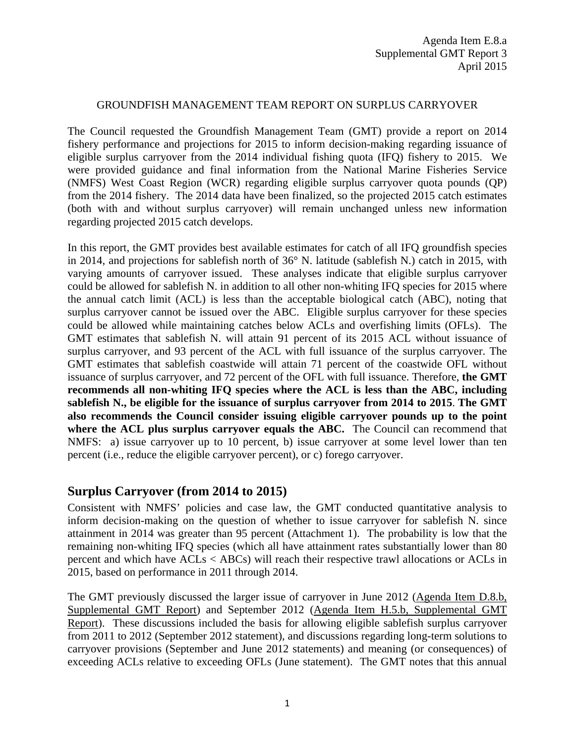#### GROUNDFISH MANAGEMENT TEAM REPORT ON SURPLUS CARRYOVER

The Council requested the Groundfish Management Team (GMT) provide a report on 2014 fishery performance and projections for 2015 to inform decision-making regarding issuance of eligible surplus carryover from the 2014 individual fishing quota (IFQ) fishery to 2015. We were provided guidance and final information from the National Marine Fisheries Service (NMFS) West Coast Region (WCR) regarding eligible surplus carryover quota pounds (QP) from the 2014 fishery. The 2014 data have been finalized, so the projected 2015 catch estimates (both with and without surplus carryover) will remain unchanged unless new information regarding projected 2015 catch develops.

In this report, the GMT provides best available estimates for catch of all IFQ groundfish species in 2014, and projections for sablefish north of 36° N. latitude (sablefish N.) catch in 2015, with varying amounts of carryover issued. These analyses indicate that eligible surplus carryover could be allowed for sablefish N. in addition to all other non-whiting IFQ species for 2015 where the annual catch limit (ACL) is less than the acceptable biological catch (ABC), noting that surplus carryover cannot be issued over the ABC. Eligible surplus carryover for these species could be allowed while maintaining catches below ACLs and overfishing limits (OFLs). The GMT estimates that sablefish N. will attain 91 percent of its 2015 ACL without issuance of surplus carryover, and 93 percent of the ACL with full issuance of the surplus carryover. The GMT estimates that sablefish coastwide will attain 71 percent of the coastwide OFL without issuance of surplus carryover, and 72 percent of the OFL with full issuance. Therefore, **the GMT recommends all non-whiting IFQ species where the ACL is less than the ABC, including sablefish N., be eligible for the issuance of surplus carryover from 2014 to 2015**. **The GMT also recommends the Council consider issuing eligible carryover pounds up to the point where the ACL plus surplus carryover equals the ABC.** The Council can recommend that NMFS: a) issue carryover up to 10 percent, b) issue carryover at some level lower than ten percent (i.e., reduce the eligible carryover percent), or c) forego carryover.

## **Surplus Carryover (from 2014 to 2015)**

Consistent with NMFS' policies and case law, the GMT conducted quantitative analysis to inform decision-making on the question of whether to issue carryover for sablefish N. since attainment in 2014 was greater than 95 percent (Attachment 1). The probability is low that the remaining non-whiting IFQ species (which all have attainment rates substantially lower than 80 percent and which have ACLs < ABCs) will reach their respective trawl allocations or ACLs in 2015, based on performance in 2011 through 2014.

The GMT previously discussed the larger issue of carryover in June 2012 [\(Agenda Item D.8.b,](http://www.pcouncil.org/wp-content/uploads/D8b_SUP_GMT_JUN2012BB.pdf)  [Supplemental GMT Report\)](http://www.pcouncil.org/wp-content/uploads/D8b_SUP_GMT_JUN2012BB.pdf) and September 2012 [\(Agenda Item H.5.b, Supplemental GMT](http://www.pcouncil.org/wp-content/uploads/H5b_SUP_GMT_SEP2012BB.pdf)  [Report\)](http://www.pcouncil.org/wp-content/uploads/H5b_SUP_GMT_SEP2012BB.pdf). These discussions included the basis for allowing eligible sablefish surplus carryover from 2011 to 2012 (September 2012 statement), and discussions regarding long-term solutions to carryover provisions (September and June 2012 statements) and meaning (or consequences) of exceeding ACLs relative to exceeding OFLs (June statement). The GMT notes that this annual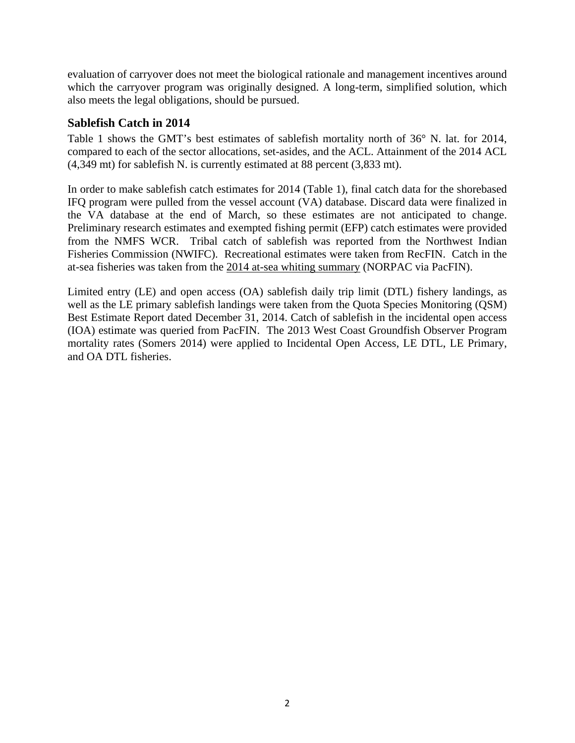evaluation of carryover does not meet the biological rationale and management incentives around which the carryover program was originally designed. A long-term, simplified solution, which also meets the legal obligations, should be pursued.

### **Sablefish Catch in 2014**

[Table 1](#page-2-0) shows the GMT's best estimates of sablefish mortality north of 36° N. lat. for 2014, compared to each of the sector allocations, set-asides, and the ACL. Attainment of the 2014 ACL (4,349 mt) for sablefish N. is currently estimated at 88 percent (3,833 mt).

In order to make sablefish catch estimates for 2014 [\(Table 1\)](#page-2-0), final catch data for the shorebased IFQ program were pulled from the vessel account (VA) database. Discard data were finalized in the VA database at the end of March, so these estimates are not anticipated to change. Preliminary research estimates and exempted fishing permit (EFP) catch estimates were provided from the NMFS WCR. Tribal catch of sablefish was reported from the Northwest Indian Fisheries Commission (NWIFC). Recreational estimates were taken from RecFIN. Catch in the at-sea fisheries was taken from the [2014 at-sea whiting summary](http://pacfin.psmfc.org/pacfin_pub/2014AtSeaWhiting.pdf) (NORPAC via PacFIN).

Limited entry (LE) and open access (OA) sablefish daily trip limit (DTL) fishery landings, as well as the LE primary sablefish landings were taken from the Quota Species Monitoring (QSM) Best Estimate Report dated December 31, 2014. Catch of sablefish in the incidental open access (IOA) estimate was queried from PacFIN. The 2013 West Coast Groundfish Observer Program mortality rates (Somers 2014) were applied to Incidental Open Access, LE DTL, LE Primary, and OA DTL fisheries.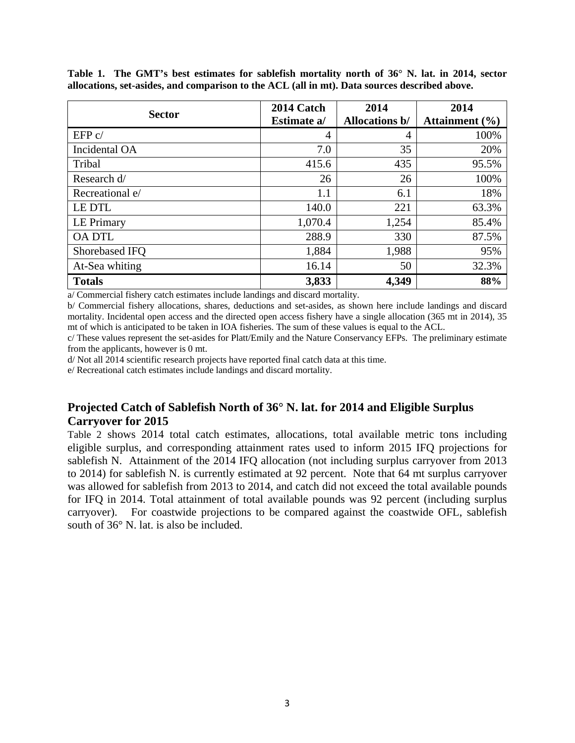| <b>Sector</b>     | 2014 Catch  | 2014                  | 2014               |  |
|-------------------|-------------|-----------------------|--------------------|--|
|                   | Estimate a/ | <b>Allocations b/</b> | Attainment $(\% )$ |  |
| EFP c/            | 4           | 4                     | 100%               |  |
| Incidental OA     | 7.0         | 35                    | 20%                |  |
| Tribal            | 415.6       | 435                   | 95.5%              |  |
| Research d/       | 26          | 26                    | 100%               |  |
| Recreational e/   | 1.1         | 6.1                   | 18%                |  |
| <b>LEDTL</b>      | 140.0       | 221                   | 63.3%              |  |
| <b>LE Primary</b> | 1,070.4     | 1,254                 | 85.4%              |  |
| <b>OA DTL</b>     | 288.9       | 330                   | 87.5%              |  |
| Shorebased IFQ    | 1,884       | 1,988                 | 95%                |  |
| At-Sea whiting    | 16.14       | 50                    | 32.3%              |  |
| <b>Totals</b>     | 3,833       | 4,349                 | 88%                |  |

<span id="page-2-0"></span>**Table 1. The GMT's best estimates for sablefish mortality north of 36° N. lat. in 2014, sector allocations, set-asides, and comparison to the ACL (all in mt). Data sources described above.**

a/ Commercial fishery catch estimates include landings and discard mortality.

b/ Commercial fishery allocations, shares, deductions and set-asides, as shown here include landings and discard mortality. Incidental open access and the directed open access fishery have a single allocation (365 mt in 2014), 35 mt of which is anticipated to be taken in IOA fisheries. The sum of these values is equal to the ACL.

c/ These values represent the set-asides for Platt/Emily and the Nature Conservancy EFPs. The preliminary estimate from the applicants, however is 0 mt.

d/ Not all 2014 scientific research projects have reported final catch data at this time.

e/ Recreational catch estimates include landings and discard mortality.

## **Projected Catch of Sablefish North of 36° N. lat. for 2014 and Eligible Surplus Carryover for 2015**

[Table 2](#page-3-0) shows 2014 total catch estimates, allocations, total available metric tons including eligible surplus, and corresponding attainment rates used to inform 2015 IFQ projections for sablefish N. Attainment of the 2014 IFQ allocation (not including surplus carryover from 2013 to 2014) for sablefish N. is currently estimated at 92 percent. Note that 64 mt surplus carryover was allowed for sablefish from 2013 to 2014, and catch did not exceed the total available pounds for IFQ in 2014. Total attainment of total available pounds was 92 percent (including surplus carryover). For coastwide projections to be compared against the coastwide OFL, sablefish south of 36° N. lat. is also be included.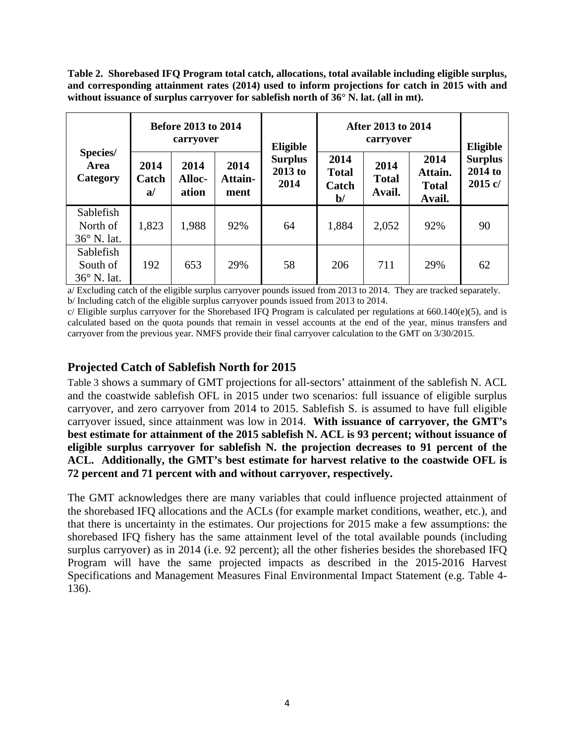<span id="page-3-0"></span>**Table 2. Shorebased IFQ Program total catch, allocations, total available including eligible surplus, and corresponding attainment rates (2014) used to inform projections for catch in 2015 with and without issuance of surplus carryover for sablefish north of 36° N. lat. (all in mt).**

|                                             | <b>Before 2013 to 2014</b><br>carryover |                                |                         | Eligible                            | After 2013 to 2014<br>carryover               |                                |                                           | <b>Eligible</b>                        |
|---------------------------------------------|-----------------------------------------|--------------------------------|-------------------------|-------------------------------------|-----------------------------------------------|--------------------------------|-------------------------------------------|----------------------------------------|
| Species/<br>Area<br>Category                | 2014<br>Catch<br>a                      | 2014<br><b>Alloc-</b><br>ation | 2014<br>Attain-<br>ment | <b>Surplus</b><br>$2013$ to<br>2014 | 2014<br><b>Total</b><br>Catch<br>$\mathbf{b}$ | 2014<br><b>Total</b><br>Avail. | 2014<br>Attain.<br><b>Total</b><br>Avail. | <b>Surplus</b><br>2014 to<br>$2015$ c/ |
| Sablefish<br>North of<br>$36^\circ$ N. lat. | 1,823                                   | 1,988                          | 92%                     | 64                                  | 1,884                                         | 2,052                          | 92%                                       | 90                                     |
| Sablefish<br>South of<br>36° N. lat.        | 192                                     | 653                            | 29%                     | 58                                  | 206                                           | 711                            | 29%                                       | 62                                     |

a/ Excluding catch of the eligible surplus carryover pounds issued from 2013 to 2014. They are tracked separately. b/ Including catch of the eligible surplus carryover pounds issued from 2013 to 2014.

 $c/$  Eligible surplus carryover for the Shorebased IFQ Program is calculated per regulations at 660.140 $(e)(5)$ , and is calculated based on the quota pounds that remain in vessel accounts at the end of the year, minus transfers and carryover from the previous year. NMFS provide their final carryover calculation to the GMT on 3/30/2015.

# **Projected Catch of Sablefish North for 2015**

[Table 3](#page-4-0) shows a summary of GMT projections for all-sectors' attainment of the sablefish N. ACL and the coastwide sablefish OFL in 2015 under two scenarios: full issuance of eligible surplus carryover, and zero carryover from 2014 to 2015. Sablefish S. is assumed to have full eligible carryover issued, since attainment was low in 2014. **With issuance of carryover, the GMT's best estimate for attainment of the 2015 sablefish N. ACL is 93 percent; without issuance of eligible surplus carryover for sablefish N. the projection decreases to 91 percent of the ACL. Additionally, the GMT's best estimate for harvest relative to the coastwide OFL is 72 percent and 71 percent with and without carryover, respectively.**

The GMT acknowledges there are many variables that could influence projected attainment of the shorebased IFQ allocations and the ACLs (for example market conditions, weather, etc.), and that there is uncertainty in the estimates. Our projections for 2015 make a few assumptions: the shorebased IFQ fishery has the same attainment level of the total available pounds (including surplus carryover) as in 2014 (i.e. 92 percent); all the other fisheries besides the shorebased IFQ Program will have the same projected impacts as described in the 2015-2016 Harvest Specifications and Management Measures Final Environmental Impact Statement (e.g. Table 4- 136).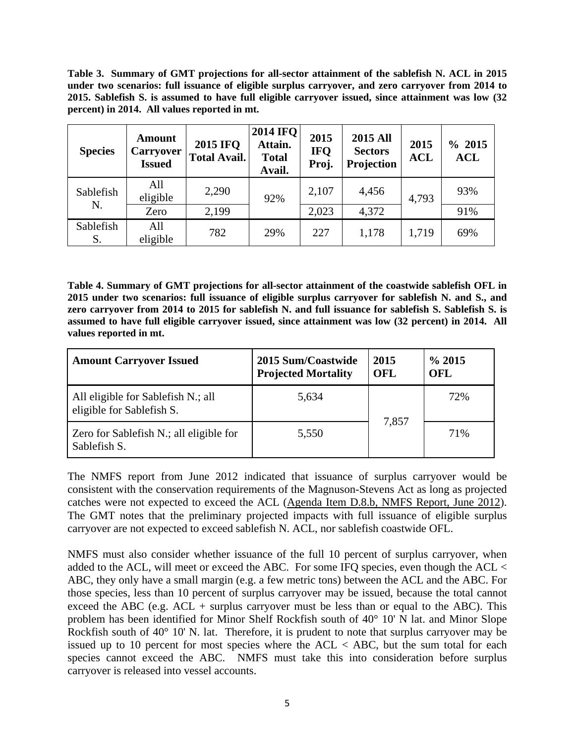<span id="page-4-0"></span>**Table 3. Summary of GMT projections for all-sector attainment of the sablefish N. ACL in 2015 under two scenarios: full issuance of eligible surplus carryover, and zero carryover from 2014 to 2015. Sablefish S. is assumed to have full eligible carryover issued, since attainment was low (32 percent) in 2014. All values reported in mt.**

| <b>Species</b>  | <b>Amount</b><br><b>Carryover</b><br><b>Issued</b> | <b>2015 IFQ</b><br><b>Total Avail.</b> | <b>2014 IFO</b><br>Attain.<br><b>Total</b><br>Avail. | 2015<br><b>IFQ</b><br>Proj. | <b>2015 All</b><br><b>Sectors</b><br>Projection | 2015<br><b>ACL</b> | % 2015<br><b>ACL</b> |
|-----------------|----------------------------------------------------|----------------------------------------|------------------------------------------------------|-----------------------------|-------------------------------------------------|--------------------|----------------------|
| Sablefish       | All<br>eligible                                    | 2,290                                  | 92%                                                  | 2,107                       | 4,456                                           | 4,793              | 93%                  |
| N.              | Zero                                               | 2,199                                  |                                                      | 2,023                       | 4,372                                           |                    | 91%                  |
| Sablefish<br>S. | All<br>eligible                                    | 782                                    | 29%                                                  | 227                         | 1,178                                           | 1,719              | 69%                  |

**Table 4. Summary of GMT projections for all-sector attainment of the coastwide sablefish OFL in 2015 under two scenarios: full issuance of eligible surplus carryover for sablefish N. and S., and zero carryover from 2014 to 2015 for sablefish N. and full issuance for sablefish S. Sablefish S. is assumed to have full eligible carryover issued, since attainment was low (32 percent) in 2014. All values reported in mt.**

| <b>Amount Carryover Issued</b>                                  | 2015 Sum/Coastwide<br><b>Projected Mortality</b> |       | $\%$ 2015<br>OFL |
|-----------------------------------------------------------------|--------------------------------------------------|-------|------------------|
| All eligible for Sablefish N.; all<br>eligible for Sablefish S. | 5,634                                            |       | 72%              |
| Zero for Sablefish N.; all eligible for<br>Sablefish S.         | 5,550                                            | 7,857 | 71%              |

The NMFS report from June 2012 indicated that issuance of surplus carryover would be consistent with the conservation requirements of the Magnuson-Stevens Act as long as projected catches were not expected to exceed the ACL [\(Agenda Item D.8.b, NMFS Report, June 2012\)](http://www.pcouncil.org/wp-content/uploads/D8b_NMFS_2011_SURPLUS_JUN2012BB.pdf). The GMT notes that the preliminary projected impacts with full issuance of eligible surplus carryover are not expected to exceed sablefish N. ACL, nor sablefish coastwide OFL.

NMFS must also consider whether issuance of the full 10 percent of surplus carryover, when added to the ACL, will meet or exceed the ABC. For some IFQ species, even though the ACL < ABC, they only have a small margin (e.g. a few metric tons) between the ACL and the ABC. For those species, less than 10 percent of surplus carryover may be issued, because the total cannot exceed the ABC (e.g.  $ACL$  + surplus carryover must be less than or equal to the ABC). This problem has been identified for Minor Shelf Rockfish south of 40° 10' N lat. and Minor Slope Rockfish south of 40° 10' N. lat. Therefore, it is prudent to note that surplus carryover may be issued up to 10 percent for most species where the  $ACL < ABC$ , but the sum total for each species cannot exceed the ABC. NMFS must take this into consideration before surplus carryover is released into vessel accounts.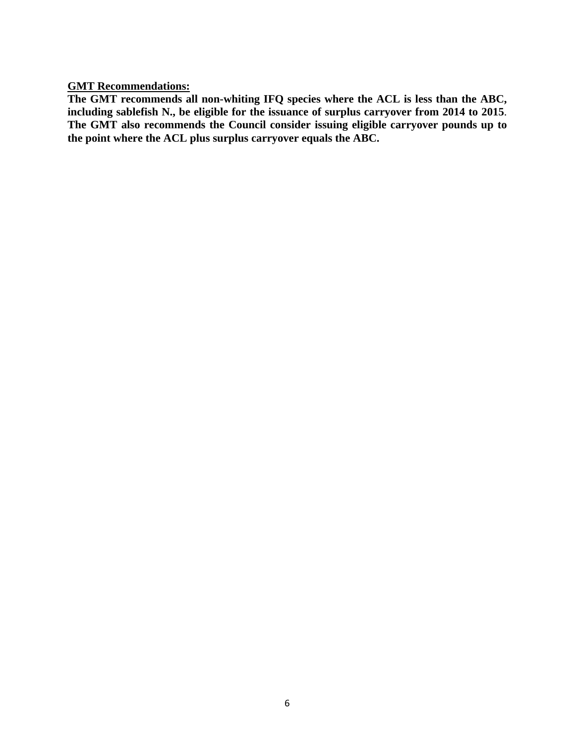**GMT Recommendations:**

**The GMT recommends all non-whiting IFQ species where the ACL is less than the ABC, including sablefish N., be eligible for the issuance of surplus carryover from 2014 to 2015**. **The GMT also recommends the Council consider issuing eligible carryover pounds up to the point where the ACL plus surplus carryover equals the ABC.**